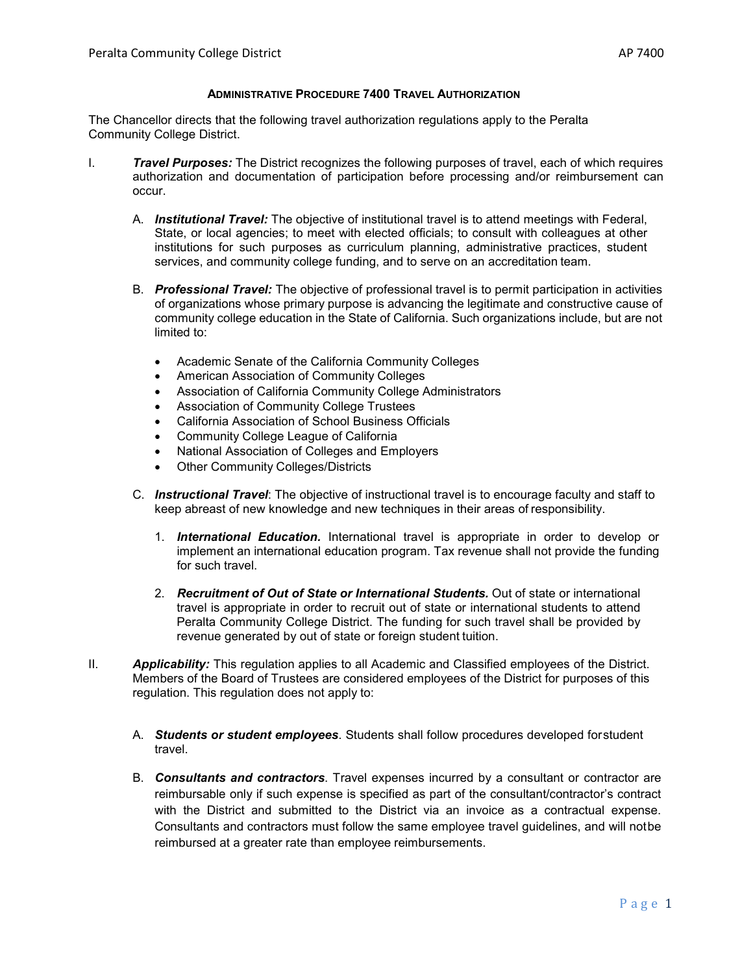#### **ADMINISTRATIVE PROCEDURE 7400 TRAVEL AUTHORIZATION**

The Chancellor directs that the following travel authorization regulations apply to the Peralta Community College District.

- I. *Travel Purposes:* The District recognizes the following purposes of travel, each of which requires authorization and documentation of participation before processing and/or reimbursement can occur.
	- A. *Institutional Travel:* The objective of institutional travel is to attend meetings with Federal, State, or local agencies; to meet with elected officials; to consult with colleagues at other institutions for such purposes as curriculum planning, administrative practices, student services, and community college funding, and to serve on an accreditation team.
	- B. *Professional Travel:* The objective of professional travel is to permit participation in activities of organizations whose primary purpose is advancing the legitimate and constructive cause of community college education in the State of California. Such organizations include, but are not limited to:
		- Academic Senate of the California Community Colleges
		- American Association of Community Colleges
		- Association of California Community College Administrators
		- Association of Community College Trustees
		- California Association of School Business Officials
		- Community College League of California
		- National Association of Colleges and Employers
		- **Other Community Colleges/Districts**
	- C. *Instructional Travel*: The objective of instructional travel is to encourage faculty and staff to keep abreast of new knowledge and new techniques in their areas of responsibility.
		- 1. *International Education.* International travel is appropriate in order to develop or implement an international education program. Tax revenue shall not provide the funding for such travel.
		- 2. *Recruitment of Out of State or International Students.* Out of state or international travel is appropriate in order to recruit out of state or international students to attend Peralta Community College District. The funding for such travel shall be provided by revenue generated by out of state or foreign student tuition.
- II. *Applicability:* This regulation applies to all Academic and Classified employees of the District. Members of the Board of Trustees are considered employees of the District for purposes of this regulation. This regulation does not apply to:
	- A. *Students or student employees*. Students shall follow procedures developed forstudent travel.
	- B. *Consultants and contractors*. Travel expenses incurred by a consultant or contractor are reimbursable only if such expense is specified as part of the consultant/contractor's contract with the District and submitted to the District via an invoice as a contractual expense. Consultants and contractors must follow the same employee travel guidelines, and will notbe reimbursed at a greater rate than employee reimbursements.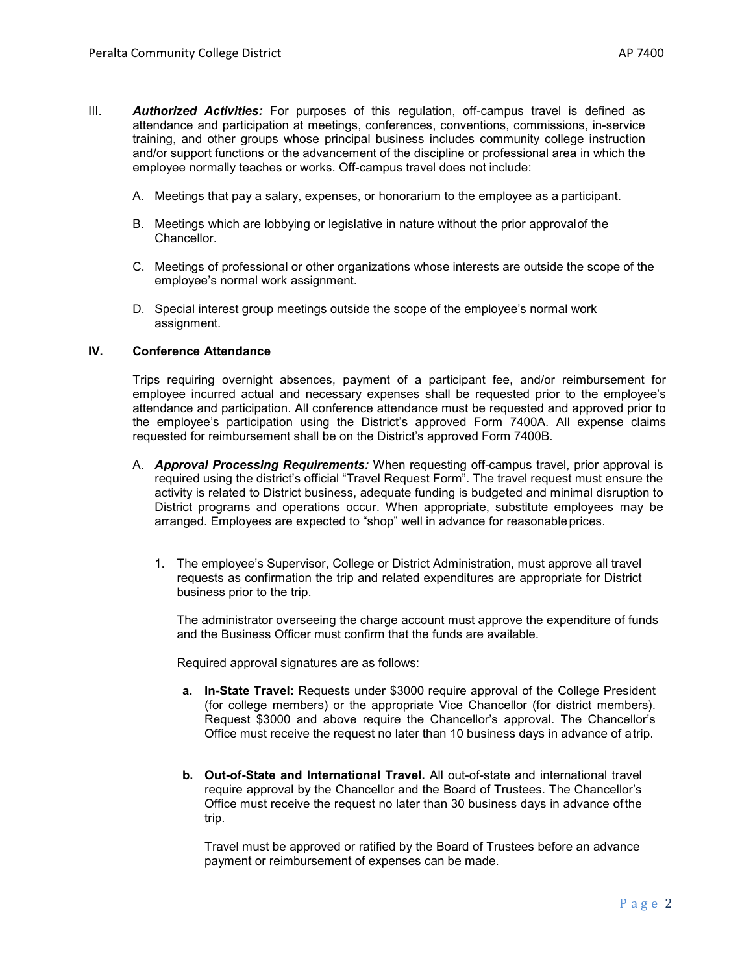- III. *Authorized Activities:* For purposes of this regulation, off-campus travel is defined as attendance and participation at meetings, conferences, conventions, commissions, in-service training, and other groups whose principal business includes community college instruction and/or support functions or the advancement of the discipline or professional area in which the employee normally teaches or works. Off-campus travel does not include:
	- A. Meetings that pay a salary, expenses, or honorarium to the employee as a participant.
	- B. Meetings which are lobbying or legislative in nature without the prior approvalof the Chancellor.
	- C. Meetings of professional or other organizations whose interests are outside the scope of the employee's normal work assignment.
	- D. Special interest group meetings outside the scope of the employee's normal work assignment.

### **IV. Conference Attendance**

Trips requiring overnight absences, payment of a participant fee, and/or reimbursement for employee incurred actual and necessary expenses shall be requested prior to the employee's attendance and participation. All conference attendance must be requested and approved prior to the employee's participation using the District's approved Form 7400A. All expense claims requested for reimbursement shall be on the District's approved Form 7400B.

- A. *Approval Processing Requirements:* When requesting off-campus travel, prior approval is required using the district's official "Travel Request Form". The travel request must ensure the activity is related to District business, adequate funding is budgeted and minimal disruption to District programs and operations occur. When appropriate, substitute employees may be arranged. Employees are expected to "shop" well in advance for reasonableprices.
	- 1. The employee's Supervisor, College or District Administration, must approve all travel requests as confirmation the trip and related expenditures are appropriate for District business prior to the trip.

The administrator overseeing the charge account must approve the expenditure of funds and the Business Officer must confirm that the funds are available.

Required approval signatures are as follows:

- **a. In-State Travel:** Requests under \$3000 require approval of the College President (for college members) or the appropriate Vice Chancellor (for district members). Request \$3000 and above require the Chancellor's approval. The Chancellor's Office must receive the request no later than 10 business days in advance of atrip.
- **b. Out-of-State and International Travel.** All out-of-state and international travel require approval by the Chancellor and the Board of Trustees. The Chancellor's Office must receive the request no later than 30 business days in advance ofthe trip.

Travel must be approved or ratified by the Board of Trustees before an advance payment or reimbursement of expenses can be made.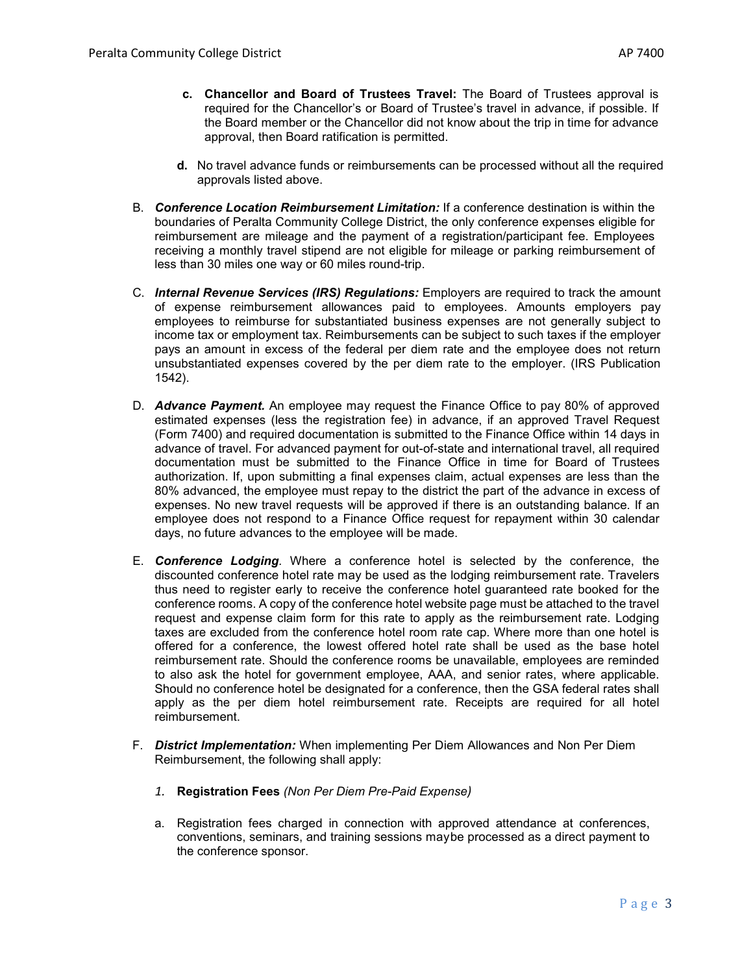- **c. Chancellor and Board of Trustees Travel:** The Board of Trustees approval is required for the Chancellor's or Board of Trustee's travel in advance, if possible. If the Board member or the Chancellor did not know about the trip in time for advance approval, then Board ratification is permitted.
- **d.** No travel advance funds or reimbursements can be processed without all the required approvals listed above.
- B. *Conference Location Reimbursement Limitation:* If a conference destination is within the boundaries of Peralta Community College District, the only conference expenses eligible for reimbursement are mileage and the payment of a registration/participant fee. Employees receiving a monthly travel stipend are not eligible for mileage or parking reimbursement of less than 30 miles one way or 60 miles round-trip.
- C. *Internal Revenue Services (IRS) Regulations:* Employers are required to track the amount of expense reimbursement allowances paid to employees. Amounts employers pay employees to reimburse for substantiated business expenses are not generally subject to income tax or employment tax. Reimbursements can be subject to such taxes if the employer pays an amount in excess of the federal per diem rate and the employee does not return unsubstantiated expenses covered by the per diem rate to the employer. (IRS Publication 1542).
- D. *Advance Payment.* An employee may request the Finance Office to pay 80% of approved estimated expenses (less the registration fee) in advance, if an approved Travel Request (Form 7400) and required documentation is submitted to the Finance Office within 14 days in advance of travel. For advanced payment for out-of-state and international travel, all required documentation must be submitted to the Finance Office in time for Board of Trustees authorization. If, upon submitting a final expenses claim, actual expenses are less than the 80% advanced, the employee must repay to the district the part of the advance in excess of expenses. No new travel requests will be approved if there is an outstanding balance. If an employee does not respond to a Finance Office request for repayment within 30 calendar days, no future advances to the employee will be made.
- E. *Conference Lodging.* Where a conference hotel is selected by the conference, the discounted conference hotel rate may be used as the lodging reimbursement rate. Travelers thus need to register early to receive the conference hotel guaranteed rate booked for the conference rooms. A copy of the conference hotel website page must be attached to the travel request and expense claim form for this rate to apply as the reimbursement rate. Lodging taxes are excluded from the conference hotel room rate cap. Where more than one hotel is offered for a conference, the lowest offered hotel rate shall be used as the base hotel reimbursement rate. Should the conference rooms be unavailable, employees are reminded to also ask the hotel for government employee, AAA, and senior rates, where applicable. Should no conference hotel be designated for a conference, then the GSA federal rates shall apply as the per diem hotel reimbursement rate. Receipts are required for all hotel reimbursement.
- F. *District Implementation:* When implementing Per Diem Allowances and Non Per Diem Reimbursement, the following shall apply:
	- *1.* **Registration Fees** *(Non Per Diem Pre-Paid Expense)*
	- a. Registration fees charged in connection with approved attendance at conferences, conventions, seminars, and training sessions maybe processed as a direct payment to the conference sponsor.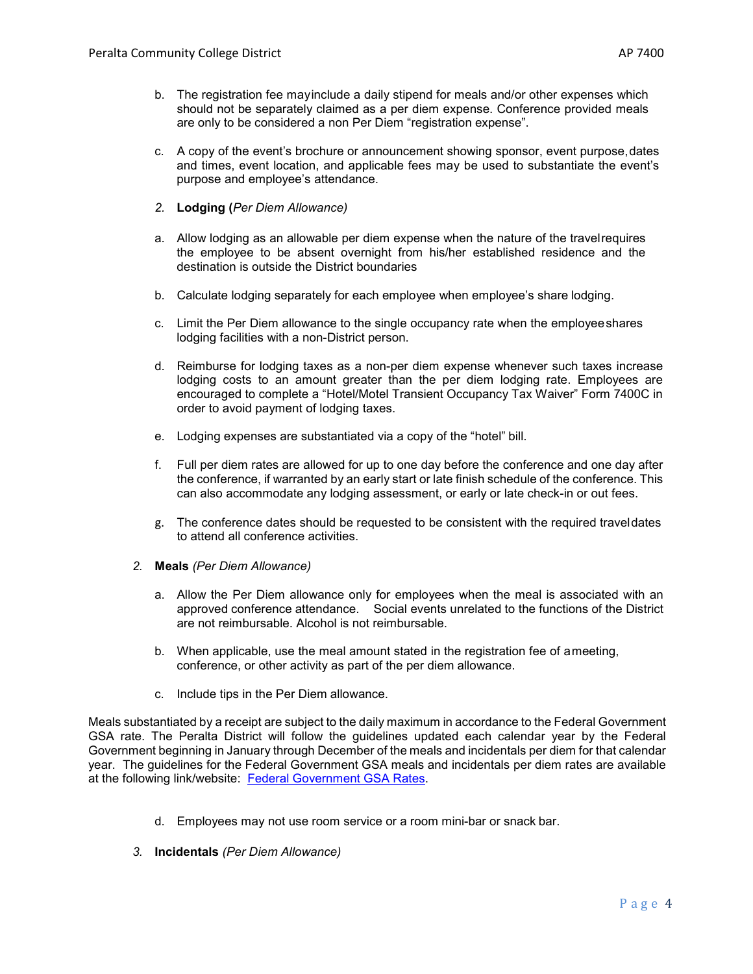- c. A copy of the event's brochure or announcement showing sponsor, event purpose,dates and times, event location, and applicable fees may be used to substantiate the event's purpose and employee's attendance.
- *2.* **Lodging (***Per Diem Allowance)*
- a. Allow lodging as an allowable per diem expense when the nature of the travelrequires the employee to be absent overnight from his/her established residence and the destination is outside the District boundaries
- b. Calculate lodging separately for each employee when employee's share lodging.
- c. Limit the Per Diem allowance to the single occupancy rate when the employeeshares lodging facilities with a non-District person.
- d. Reimburse for lodging taxes as a non-per diem expense whenever such taxes increase lodging costs to an amount greater than the per diem lodging rate. Employees are encouraged to complete a "Hotel/Motel Transient Occupancy Tax Waiver" Form 7400C in order to avoid payment of lodging taxes.
- e. Lodging expenses are substantiated via a copy of the "hotel" bill.
- f. Full per diem rates are allowed for up to one day before the conference and one day after the conference, if warranted by an early start or late finish schedule of the conference. This can also accommodate any lodging assessment, or early or late check-in or out fees.
- g. The conference dates should be requested to be consistent with the required traveldates to attend all conference activities.
- *2.* **Meals** *(Per Diem Allowance)*
	- a. Allow the Per Diem allowance only for employees when the meal is associated with an approved conference attendance. Social events unrelated to the functions of the District are not reimbursable. Alcohol is not reimbursable.
	- b. When applicable, use the meal amount stated in the registration fee of ameeting, conference, or other activity as part of the per diem allowance.
	- c. Include tips in the Per Diem allowance.

Meals substantiated by a receipt are subject to the daily maximum in accordance to the Federal Government GSA rate. The Peralta District will follow the guidelines updated each calendar year by the Federal Government beginning in January through December of the meals and incidentals per diem for that calendar year. The guidelines for the Federal Government GSA meals and incidentals per diem rates are available at the following link/website: Federal Government GSA Rates.

- d. Employees may not use room service or a room mini-bar or snack bar.
- *3.* **Incidentals** *(Per Diem Allowance)*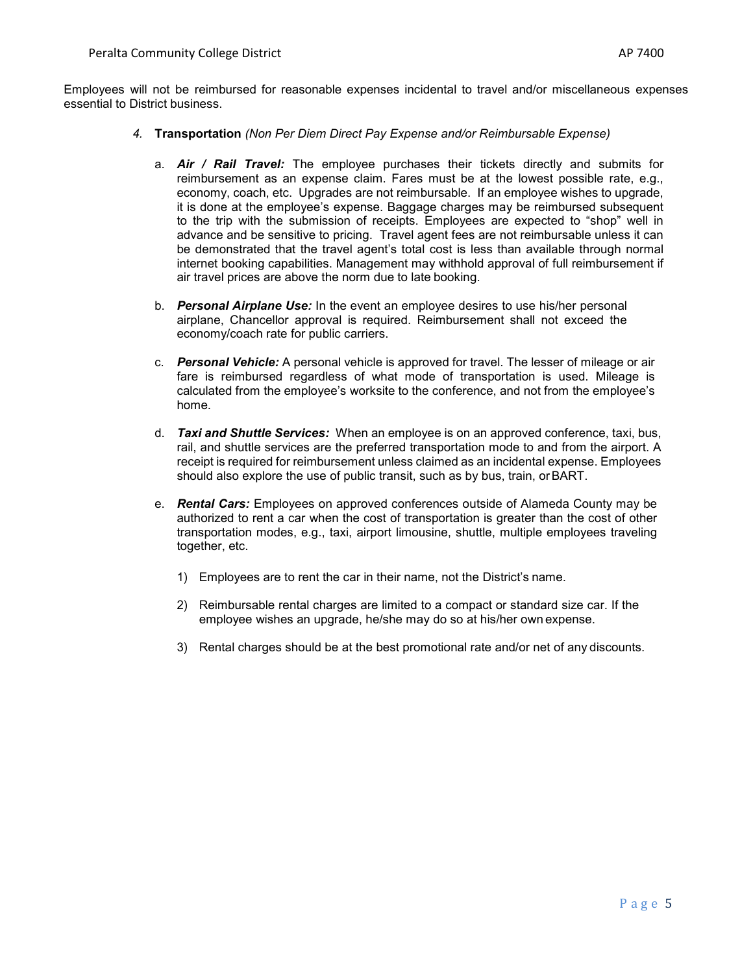Employees will not be reimbursed for reasonable expenses incidental to travel and/or miscellaneous expenses essential to District business.

- *4.* **Transportation** *(Non Per Diem Direct Pay Expense and/or Reimbursable Expense)*
	- a. *Air / Rail Travel:* The employee purchases their tickets directly and submits for reimbursement as an expense claim. Fares must be at the lowest possible rate, e.g., economy, coach, etc. Upgrades are not reimbursable. If an employee wishes to upgrade, it is done at the employee's expense. Baggage charges may be reimbursed subsequent to the trip with the submission of receipts. Employees are expected to "shop" well in advance and be sensitive to pricing. Travel agent fees are not reimbursable unless it can be demonstrated that the travel agent's total cost is less than available through normal internet booking capabilities. Management may withhold approval of full reimbursement if air travel prices are above the norm due to late booking.
	- b. *Personal Airplane Use:* In the event an employee desires to use his/her personal airplane, Chancellor approval is required. Reimbursement shall not exceed the economy/coach rate for public carriers.
	- c. *Personal Vehicle:* A personal vehicle is approved for travel. The lesser of mileage or air fare is reimbursed regardless of what mode of transportation is used. Mileage is calculated from the employee's worksite to the conference, and not from the employee's home.
	- d. *Taxi and Shuttle Services:* When an employee is on an approved conference, taxi, bus, rail, and shuttle services are the preferred transportation mode to and from the airport. A receipt is required for reimbursement unless claimed as an incidental expense. Employees should also explore the use of public transit, such as by bus, train, orBART.
	- e. *Rental Cars:* Employees on approved conferences outside of Alameda County may be authorized to rent a car when the cost of transportation is greater than the cost of other transportation modes, e.g., taxi, airport limousine, shuttle, multiple employees traveling together, etc.
		- 1) Employees are to rent the car in their name, not the District's name.
		- 2) Reimbursable rental charges are limited to a compact or standard size car. If the employee wishes an upgrade, he/she may do so at his/her own expense.
		- 3) Rental charges should be at the best promotional rate and/or net of any discounts.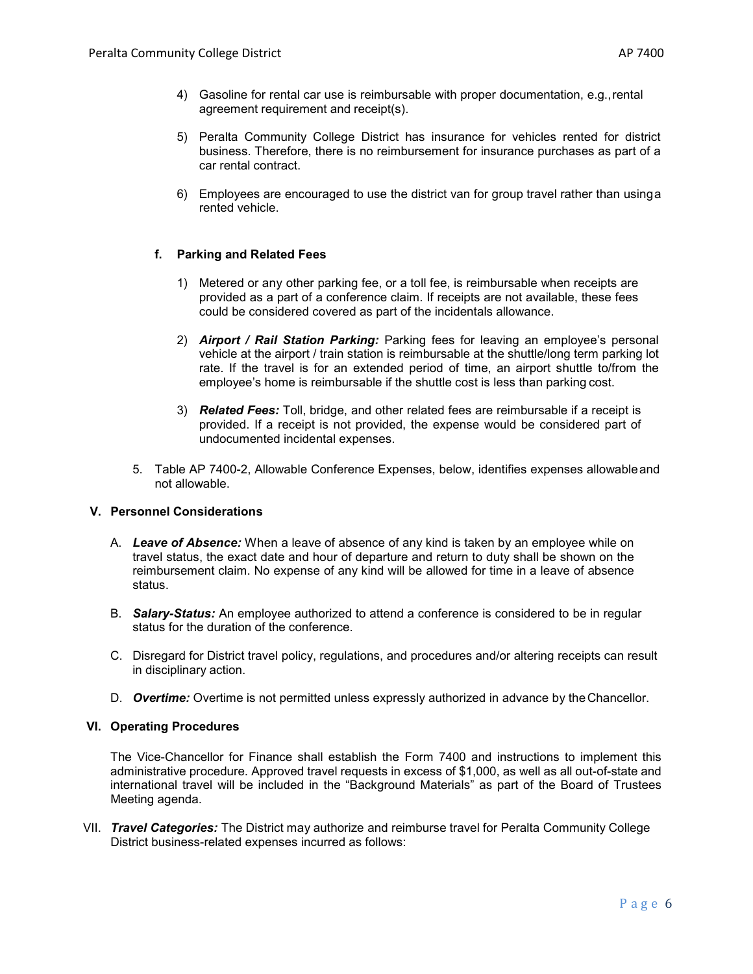- 4) Gasoline for rental car use is reimbursable with proper documentation, e.g.,rental agreement requirement and receipt(s).
- 5) Peralta Community College District has insurance for vehicles rented for district business. Therefore, there is no reimbursement for insurance purchases as part of a car rental contract.
- 6) Employees are encouraged to use the district van for group travel rather than usinga rented vehicle.

# **f. Parking and Related Fees**

- 1) Metered or any other parking fee, or a toll fee, is reimbursable when receipts are provided as a part of a conference claim. If receipts are not available, these fees could be considered covered as part of the incidentals allowance.
- 2) *Airport / Rail Station Parking:* Parking fees for leaving an employee's personal vehicle at the airport / train station is reimbursable at the shuttle/long term parking lot rate. If the travel is for an extended period of time, an airport shuttle to/from the employee's home is reimbursable if the shuttle cost is less than parking cost.
- 3) *Related Fees:* Toll, bridge, and other related fees are reimbursable if a receipt is provided. If a receipt is not provided, the expense would be considered part of undocumented incidental expenses.
- 5. Table AP 7400-2, Allowable Conference Expenses, below, identifies expenses allowableand not allowable.

# **V. Personnel Considerations**

- A. *Leave of Absence:* When a leave of absence of any kind is taken by an employee while on travel status, the exact date and hour of departure and return to duty shall be shown on the reimbursement claim. No expense of any kind will be allowed for time in a leave of absence status.
- B. *Salary-Status:* An employee authorized to attend a conference is considered to be in regular status for the duration of the conference.
- C. Disregard for District travel policy, regulations, and procedures and/or altering receipts can result in disciplinary action.
- D. **Overtime:** Overtime is not permitted unless expressly authorized in advance by the Chancellor.

#### **VI. Operating Procedures**

The Vice-Chancellor for Finance shall establish the Form 7400 and instructions to implement this administrative procedure. Approved travel requests in excess of \$1,000, as well as all out-of-state and international travel will be included in the "Background Materials" as part of the Board of Trustees Meeting agenda.

VII. *Travel Categories:* The District may authorize and reimburse travel for Peralta Community College District business-related expenses incurred as follows: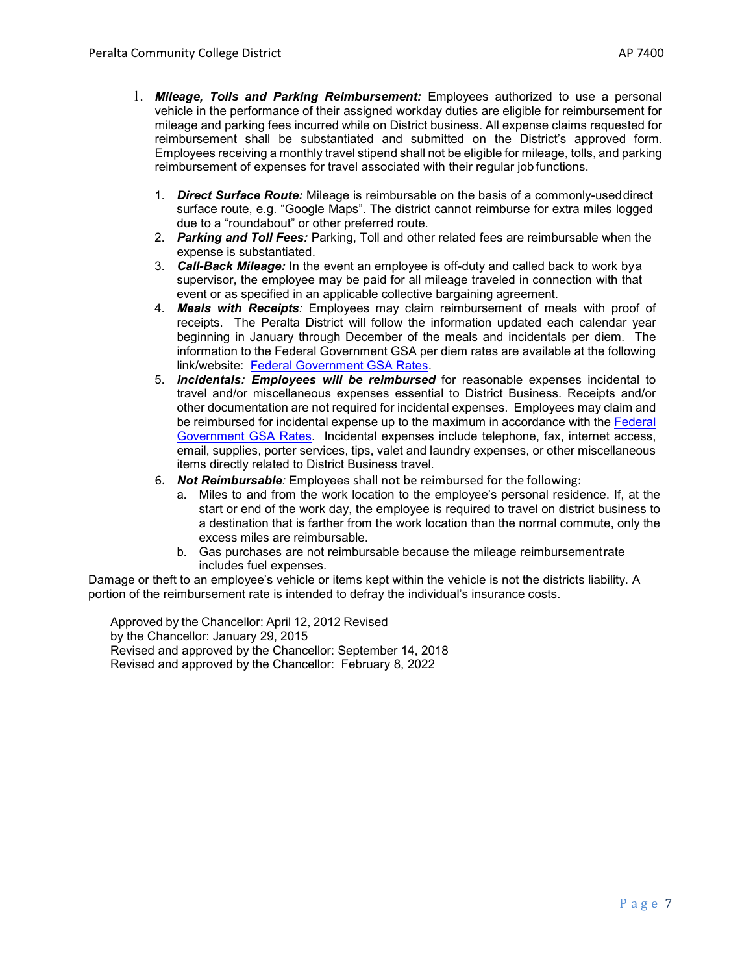- 1. *Mileage, Tolls and Parking Reimbursement:* Employees authorized to use a personal vehicle in the performance of their assigned workday duties are eligible for reimbursement for mileage and parking fees incurred while on District business. All expense claims requested for reimbursement shall be substantiated and submitted on the District's approved form. Employees receiving a monthly travel stipend shall not be eligible for mileage, tolls, and parking reimbursement of expenses for travel associated with their regular job functions.
	- 1. *Direct Surface Route:* Mileage is reimbursable on the basis of a commonly-useddirect surface route, e.g. "Google Maps". The district cannot reimburse for extra miles logged due to a "roundabout" or other preferred route.
	- 2. *Parking and Toll Fees:* Parking, Toll and other related fees are reimbursable when the expense is substantiated.
	- 3. *Call-Back Mileage:* In the event an employee is off-duty and called back to work bya supervisor, the employee may be paid for all mileage traveled in connection with that event or as specified in an applicable collective bargaining agreement.
	- 4. *Meals with Receipts:* Employees may claim reimbursement of meals with proof of receipts. The Peralta District will follow the information updated each calendar year beginning in January through December of the meals and incidentals per diem. The information to the Federal Government GSA per diem rates are available at the following link/website: Federal Government GSA Rates.
	- 5. *Incidentals: Employees will be reimbursed* for reasonable expenses incidental to travel and/or miscellaneous expenses essential to District Business. Receipts and/or other documentation are not required for incidental expenses. Employees may claim and be reimbursed for incidental expense up to the maximum in accordance with the Federal Government GSA Rates. Incidental expenses include telephone, fax, internet access, email, supplies, porter services, tips, valet and laundry expenses, or other miscellaneous items directly related to District Business travel.
	- 6. *Not Reimbursable:* Employees shall not be reimbursed for the following:
		- a. Miles to and from the work location to the employee's personal residence. If, at the start or end of the work day, the employee is required to travel on district business to a destination that is farther from the work location than the normal commute, only the excess miles are reimbursable.
		- b. Gas purchases are not reimbursable because the mileage reimbursementrate includes fuel expenses.

Damage or theft to an employee's vehicle or items kept within the vehicle is not the districts liability. A portion of the reimbursement rate is intended to defray the individual's insurance costs.

Approved by the Chancellor: April 12, 2012 Revised by the Chancellor: January 29, 2015 Revised and approved by the Chancellor: September 14, 2018 Revised and approved by the Chancellor: February 8, 2022